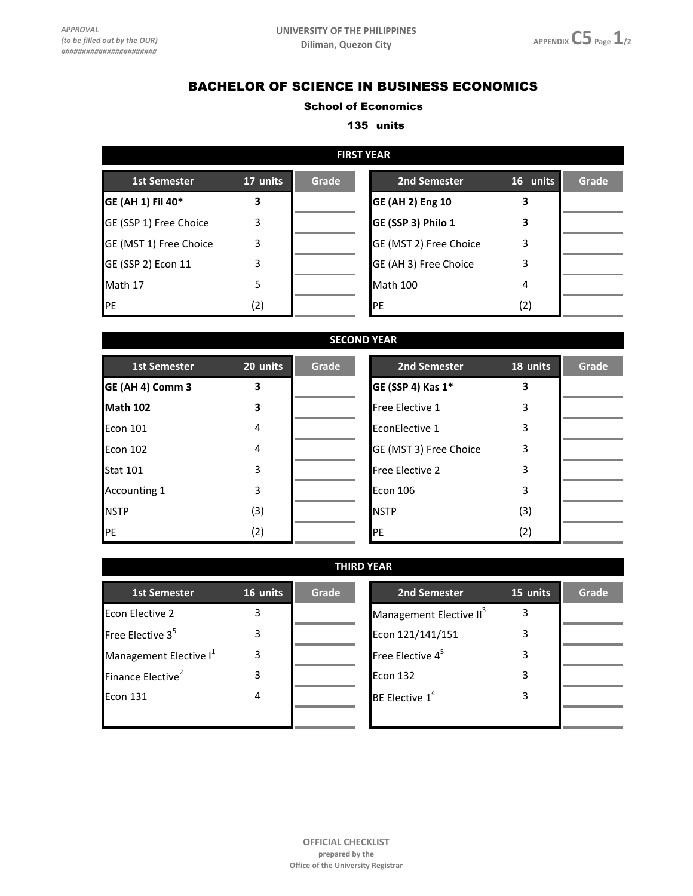## BACHELOR OF SCIENCE IN BUSINESS ECONOMICS

## School of Economics

## 135 units

| <b>FIRST YEAR</b>      |          |       |                         |          |       |  |  |
|------------------------|----------|-------|-------------------------|----------|-------|--|--|
| <b>1st Semester</b>    | 17 units | Grade | 2nd Semester            | 16 units | Grade |  |  |
| GE (AH 1) Fil 40*      | 3        |       | <b>GE (AH 2) Eng 10</b> | 3        |       |  |  |
| GE (SSP 1) Free Choice | 3        |       | GE (SSP 3) Philo 1      | 3        |       |  |  |
| GE (MST 1) Free Choice | 3        |       | GE (MST 2) Free Choice  | 3        |       |  |  |
| GE (SSP 2) Econ 11     | 3        |       | GE (AH 3) Free Choice   | 3        |       |  |  |
| Math 17                | 5        |       | <b>Math 100</b>         | 4        |       |  |  |
| PE                     | (2)      |       | <b>IPE</b>              | (2)      |       |  |  |

|                     |          |       | <b>SECOND YEAR</b>     |          |       |
|---------------------|----------|-------|------------------------|----------|-------|
| <b>1st Semester</b> | 20 units | Grade | 2nd Semester           | 18 units | Grade |
| GE (AH 4) Comm 3    | 3        |       | GE (SSP 4) Kas 1*      | 3        |       |
| Math 102            | 3        |       | Free Elective 1        | 3        |       |
| Econ 101            | 4        |       | EconElective 1         | 3        |       |
| Econ 102            | 4        |       | GE (MST 3) Free Choice | 3        |       |
| <b>Stat 101</b>     | 3        |       | <b>Free Elective 2</b> | 3        |       |
| <b>Accounting 1</b> | 3        |       | <b>Econ 106</b>        | 3        |       |
| <b>NSTP</b>         | (3)      |       | <b>NSTP</b>            | (3)      |       |
| PE                  | (2)      |       | PE                     | (2)      |       |

| <b>THIRD YEAR</b>                  |          |       |                                     |          |       |  |  |  |
|------------------------------------|----------|-------|-------------------------------------|----------|-------|--|--|--|
| <b>1st Semester</b>                | 16 units | Grade | 2nd Semester                        | 15 units | Grade |  |  |  |
| <b>Econ Elective 2</b>             | 3        |       | Management Elective II <sup>3</sup> | 3        |       |  |  |  |
| Free Elective $35$                 | 3        |       | Econ 121/141/151                    | 3        |       |  |  |  |
| Management Elective I <sup>1</sup> | 3        |       | Free Elective $4^5$                 | 3        |       |  |  |  |
| Finance Elective <sup>2</sup>      | 3        |       | <b>Econ 132</b>                     | 3        |       |  |  |  |
| Econ 131                           | 4        |       | BE Elective 1 <sup>4</sup>          | 3        |       |  |  |  |
|                                    |          |       |                                     |          |       |  |  |  |